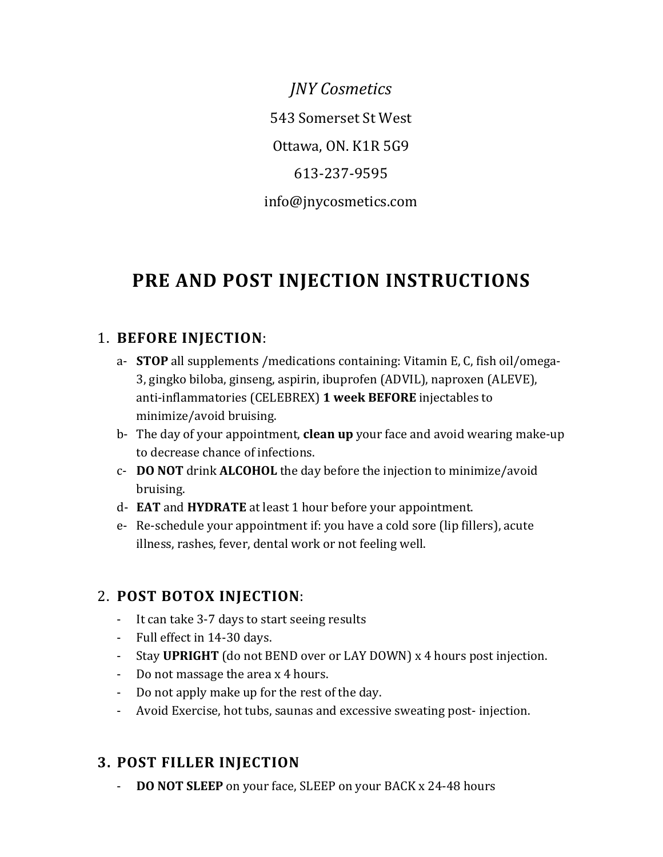*JNY Cosmetics* 543 Somerset St West Ottawa, ON. K1R 5G9 613-237-9595 info@jnycosmetics.com

# **PRE AND POST INJECTION INSTRUCTIONS**

#### 1. **BEFORE INJECTION**:

- a- **STOP** all supplements /medications containing: Vitamin E, C, fish oil/omega-3, gingko biloba, ginseng, aspirin, ibuprofen (ADVIL), naproxen (ALEVE), anti-inflammatories (CELEBREX) **1 week BEFORE** injectables to minimize/avoid bruising.
- b- The day of your appointment, **clean up** your face and avoid wearing make-up to decrease chance of infections.
- c- **DO NOT** drink **ALCOHOL** the day before the injection to minimize/avoid bruising.
- d- **EAT** and **HYDRATE** at least 1 hour before your appointment.
- e- Re-schedule your appointment if: you have a cold sore (lip fillers), acute illness, rashes, fever, dental work or not feeling well.

#### 2. **POST BOTOX INJECTION**:

- It can take 3-7 days to start seeing results
- Full effect in 14-30 days.
- Stay **UPRIGHT** (do not BEND over or LAY DOWN) x 4 hours post injection.
- Do not massage the area x 4 hours.
- Do not apply make up for the rest of the day.
- Avoid Exercise, hot tubs, saunas and excessive sweating post- injection.

### **3. POST FILLER INJECTION**

- **DO NOT SLEEP** on your face, SLEEP on your BACK x 24-48 hours